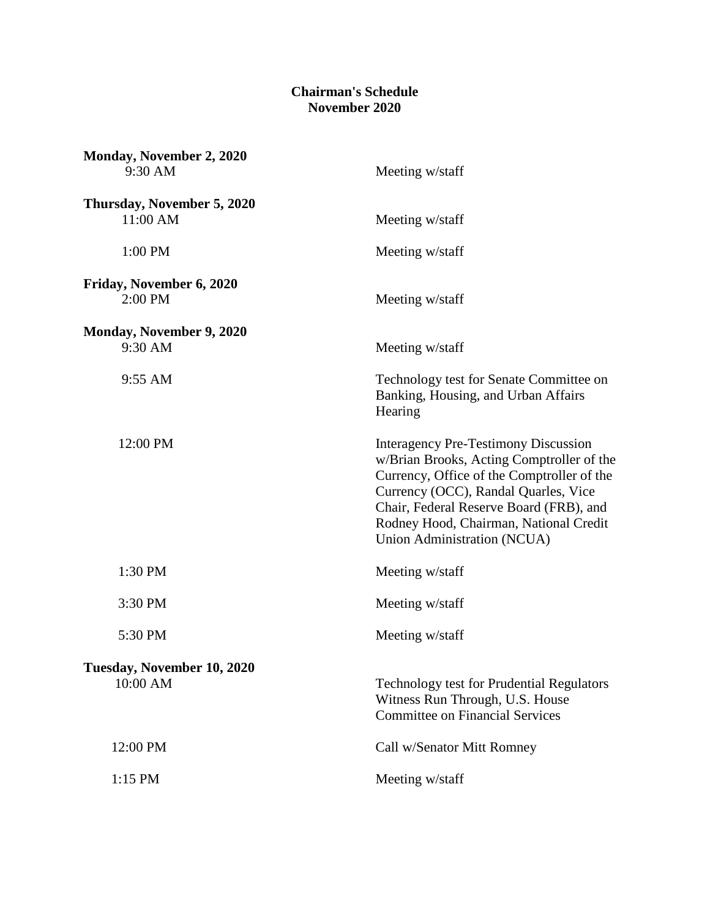## **Chairman's Schedule November 2020**

| Monday, November 2, 2020<br>9:30 AM    | Meeting w/staff                                                                                                                                                                                                                                                                                    |
|----------------------------------------|----------------------------------------------------------------------------------------------------------------------------------------------------------------------------------------------------------------------------------------------------------------------------------------------------|
| Thursday, November 5, 2020<br>11:00 AM | Meeting w/staff                                                                                                                                                                                                                                                                                    |
| 1:00 PM                                | Meeting w/staff                                                                                                                                                                                                                                                                                    |
| Friday, November 6, 2020<br>$2:00$ PM  | Meeting w/staff                                                                                                                                                                                                                                                                                    |
| Monday, November 9, 2020<br>9:30 AM    | Meeting w/staff                                                                                                                                                                                                                                                                                    |
| 9:55 AM                                | Technology test for Senate Committee on<br>Banking, Housing, and Urban Affairs<br>Hearing                                                                                                                                                                                                          |
| 12:00 PM                               | <b>Interagency Pre-Testimony Discussion</b><br>w/Brian Brooks, Acting Comptroller of the<br>Currency, Office of the Comptroller of the<br>Currency (OCC), Randal Quarles, Vice<br>Chair, Federal Reserve Board (FRB), and<br>Rodney Hood, Chairman, National Credit<br>Union Administration (NCUA) |
| 1:30 PM                                | Meeting w/staff                                                                                                                                                                                                                                                                                    |
| 3:30 PM                                | Meeting w/staff                                                                                                                                                                                                                                                                                    |
| 5:30 PM                                | Meeting w/staff                                                                                                                                                                                                                                                                                    |
| Tuesday, November 10, 2020<br>10:00 AM | Technology test for Prudential Regulators<br>Witness Run Through, U.S. House<br><b>Committee on Financial Services</b>                                                                                                                                                                             |
| 12:00 PM                               | Call w/Senator Mitt Romney                                                                                                                                                                                                                                                                         |
| 1:15 PM                                | Meeting w/staff                                                                                                                                                                                                                                                                                    |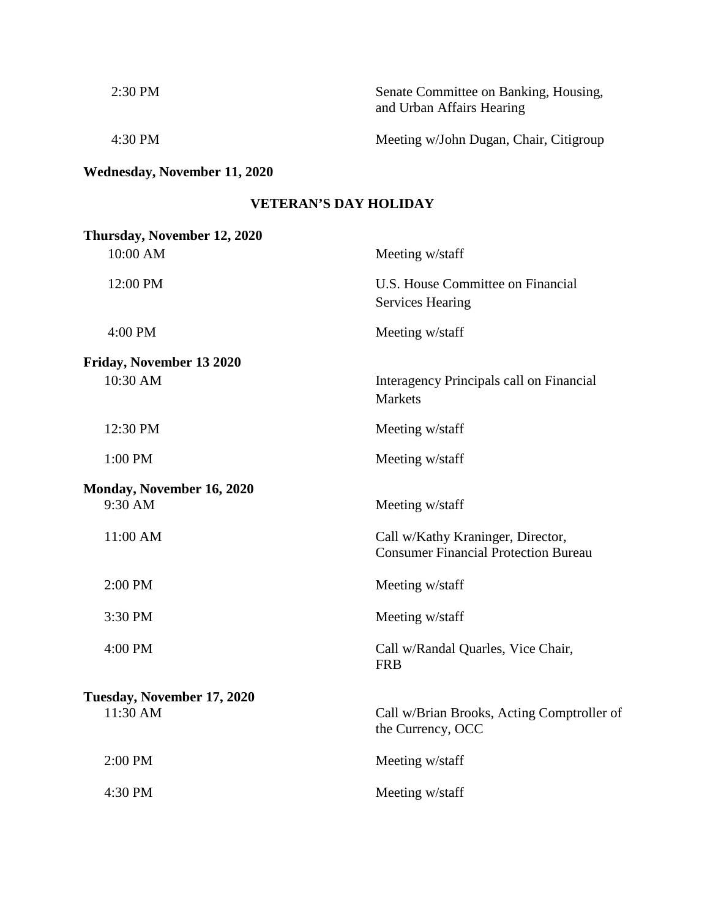| $2:30$ PM | Senate Committee on Banking, Housing,<br>and Urban Affairs Hearing |
|-----------|--------------------------------------------------------------------|
| $4:30$ PM | Meeting w/John Dugan, Chair, Citigroup                             |

## **Wednesday, November 11, 2020**

## **VETERAN'S DAY HOLIDAY**

| Thursday, November 12, 2020 |                                                                                  |
|-----------------------------|----------------------------------------------------------------------------------|
| 10:00 AM                    | Meeting w/staff                                                                  |
| 12:00 PM                    | U.S. House Committee on Financial<br><b>Services Hearing</b>                     |
| 4:00 PM                     | Meeting w/staff                                                                  |
| Friday, November 13 2020    |                                                                                  |
| 10:30 AM                    | Interagency Principals call on Financial<br><b>Markets</b>                       |
| 12:30 PM                    | Meeting w/staff                                                                  |
| 1:00 PM                     | Meeting w/staff                                                                  |
| Monday, November 16, 2020   |                                                                                  |
| 9:30 AM                     | Meeting w/staff                                                                  |
| 11:00 AM                    | Call w/Kathy Kraninger, Director,<br><b>Consumer Financial Protection Bureau</b> |
| 2:00 PM                     | Meeting w/staff                                                                  |
| 3:30 PM                     | Meeting w/staff                                                                  |
| 4:00 PM                     | Call w/Randal Quarles, Vice Chair,<br><b>FRB</b>                                 |
| Tuesday, November 17, 2020  |                                                                                  |
| 11:30 AM                    | Call w/Brian Brooks, Acting Comptroller of<br>the Currency, OCC                  |
| 2:00 PM                     | Meeting w/staff                                                                  |
| 4:30 PM                     | Meeting w/staff                                                                  |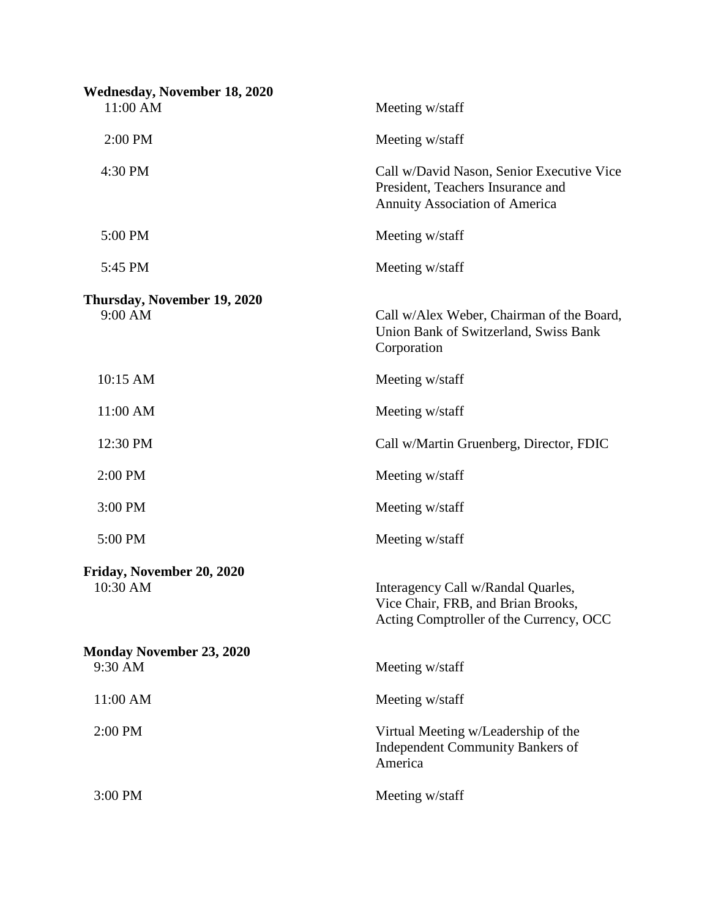| <b>Wednesday, November 18, 2020</b><br>11:00 AM | Meeting w/staff                                                                                                         |
|-------------------------------------------------|-------------------------------------------------------------------------------------------------------------------------|
| 2:00 PM                                         | Meeting w/staff                                                                                                         |
| 4:30 PM                                         | Call w/David Nason, Senior Executive Vice<br>President, Teachers Insurance and<br><b>Annuity Association of America</b> |
| 5:00 PM                                         | Meeting w/staff                                                                                                         |
| 5:45 PM                                         | Meeting w/staff                                                                                                         |
| Thursday, November 19, 2020<br>9:00 AM          | Call w/Alex Weber, Chairman of the Board,<br>Union Bank of Switzerland, Swiss Bank<br>Corporation                       |
| 10:15 AM                                        | Meeting w/staff                                                                                                         |
| 11:00 AM                                        | Meeting w/staff                                                                                                         |
| 12:30 PM                                        | Call w/Martin Gruenberg, Director, FDIC                                                                                 |
| 2:00 PM                                         | Meeting w/staff                                                                                                         |
| 3:00 PM                                         | Meeting w/staff                                                                                                         |
| 5:00 PM                                         | Meeting w/staff                                                                                                         |
| Friday, November 20, 2020<br>10:30 AM           | Interagency Call w/Randal Quarles,<br>Vice Chair, FRB, and Brian Brooks,<br>Acting Comptroller of the Currency, OCC     |
| <b>Monday November 23, 2020</b><br>9:30 AM      | Meeting w/staff                                                                                                         |
| 11:00 AM                                        | Meeting w/staff                                                                                                         |
| 2:00 PM                                         | Virtual Meeting w/Leadership of the<br><b>Independent Community Bankers of</b><br>America                               |
| 3:00 PM                                         | Meeting w/staff                                                                                                         |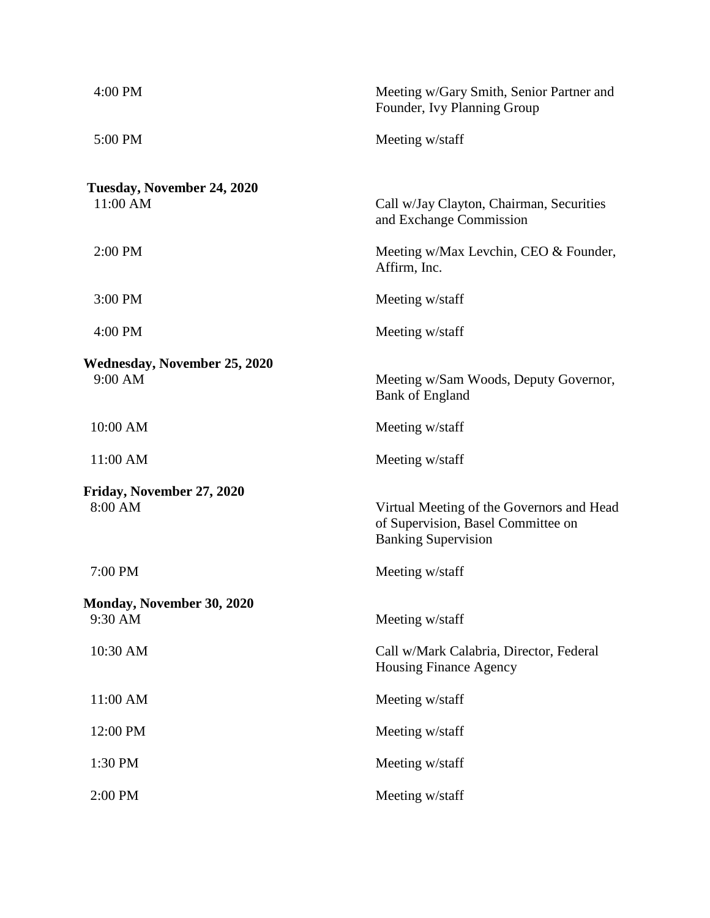| Meeting w/Gary Smith, Senior Partner and<br>Founder, Ivy Planning Group                                       |
|---------------------------------------------------------------------------------------------------------------|
| Meeting w/staff                                                                                               |
| Call w/Jay Clayton, Chairman, Securities<br>and Exchange Commission                                           |
| Meeting w/Max Levchin, CEO & Founder,<br>Affirm, Inc.                                                         |
| Meeting w/staff                                                                                               |
| Meeting w/staff                                                                                               |
| Meeting w/Sam Woods, Deputy Governor,<br><b>Bank of England</b>                                               |
| Meeting w/staff                                                                                               |
| Meeting w/staff                                                                                               |
| Virtual Meeting of the Governors and Head<br>of Supervision, Basel Committee on<br><b>Banking Supervision</b> |
| Meeting w/staff                                                                                               |
| Meeting w/staff                                                                                               |
| Call w/Mark Calabria, Director, Federal<br><b>Housing Finance Agency</b>                                      |
| Meeting w/staff                                                                                               |
| Meeting w/staff                                                                                               |
| Meeting w/staff                                                                                               |
| Meeting w/staff                                                                                               |
|                                                                                                               |